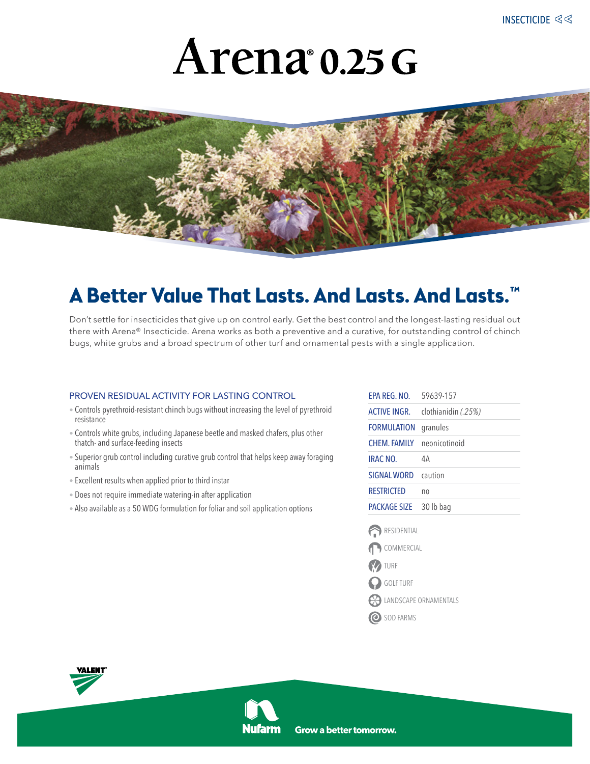# Arena 0.25 G



### **A Better Value That Lasts. And Lasts. And Lasts.™**

Don't settle for insecticides that give up on control early. Get the best control and the longest-lasting residual out there with Arena® Insecticide. Arena works as both a preventive and a curative, for outstanding control of chinch bugs, white grubs and a broad spectrum of other turf and ornamental pests with a single application.

#### proven residual activity for lasting control

- Controls pyrethroid-resistant chinch bugs without increasing the level of pyrethroid resistance
- Controls white grubs, including Japanese beetle and masked chafers, plus other thatch- and surface-feeding insects
- Superior grub control including curative grub control that helps keep away foraging animals
- Excellent results when applied prior to third instar
- Does not require immediate watering-in after application
- Also available as a 50 WDG formulation for foliar and soil application options

| FPA RFG NO         | 59639-157           |
|--------------------|---------------------|
| ACTIVE INGR.       | clothianidin (.25%) |
| <b>FORMULATION</b> | granules            |
| <b>CHEM FAMILY</b> | neonicotinoid       |
| <b>IRAC NO.</b>    | 4Α                  |
| SIGNAI WORD        | caution             |
| RESTRICTED         | no                  |
| PACKAGF SIZF       | 30 lb bag           |
|                    |                     |

- **RESIDENTIAL**
- COMMERCIAL
- TURF
- GOLF TURF
- LANDSCAPE ORNAMENTALS
- O SOD FARMS